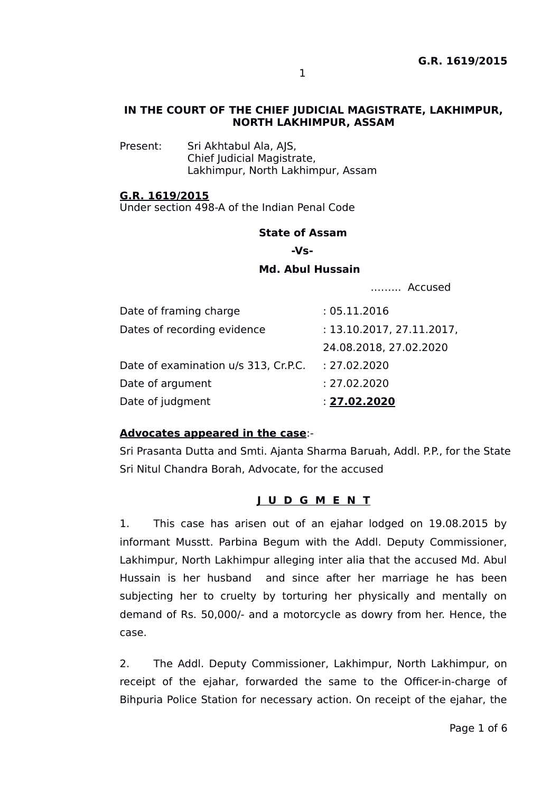#### **IN THE COURT OF THE CHIEF JUDICIAL MAGISTRATE, LAKHIMPUR, NORTH LAKHIMPUR, ASSAM**

Present: Sri Akhtabul Ala, AJS, Chief Judicial Magistrate, Lakhimpur, North Lakhimpur, Assam

#### **G.R. 1619/2015**

Under section 498-A of the Indian Penal Code

#### **State of Assam**

 **-Vs-**

### **Md. Abul Hussain**

.…….. Accused

| Date of framing charge               | : 05.11.2016              |
|--------------------------------------|---------------------------|
| Dates of recording evidence          | : 13.10.2017, 27.11.2017, |
|                                      | 24.08.2018, 27.02.2020    |
| Date of examination u/s 313, Cr.P.C. | : 27.02.2020              |
| Date of argument                     | : 27.02.2020              |
| Date of judgment                     | : 27.02.2020              |

## **Advocates appeared in the case**:-

Sri Prasanta Dutta and Smti. Ajanta Sharma Baruah, Addl. P.P., for the State Sri Nitul Chandra Borah, Advocate, for the accused

### **J U D G M E N T**

1. This case has arisen out of an ejahar lodged on 19.08.2015 by informant Musstt. Parbina Begum with the Addl. Deputy Commissioner, Lakhimpur, North Lakhimpur alleging inter alia that the accused Md. Abul Hussain is her husband and since after her marriage he has been subjecting her to cruelty by torturing her physically and mentally on demand of Rs. 50,000/- and a motorcycle as dowry from her. Hence, the case.

2. The Addl. Deputy Commissioner, Lakhimpur, North Lakhimpur, on receipt of the ejahar, forwarded the same to the Officer-in-charge of Bihpuria Police Station for necessary action. On receipt of the ejahar, the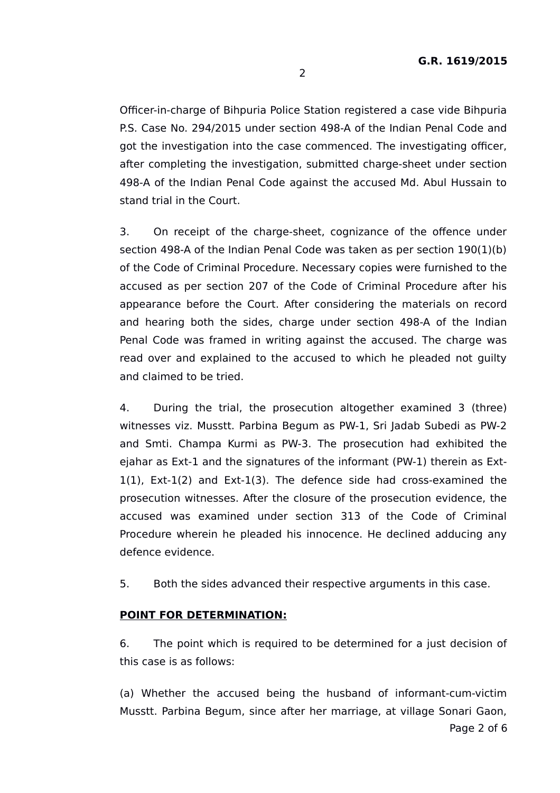Officer-in-charge of Bihpuria Police Station registered a case vide Bihpuria P.S. Case No. 294/2015 under section 498-A of the Indian Penal Code and got the investigation into the case commenced. The investigating officer, after completing the investigation, submitted charge-sheet under section 498-A of the Indian Penal Code against the accused Md. Abul Hussain to stand trial in the Court.

3. On receipt of the charge-sheet, cognizance of the offence under section 498-A of the Indian Penal Code was taken as per section 190(1)(b) of the Code of Criminal Procedure. Necessary copies were furnished to the accused as per section 207 of the Code of Criminal Procedure after his appearance before the Court. After considering the materials on record and hearing both the sides, charge under section 498-A of the Indian Penal Code was framed in writing against the accused. The charge was read over and explained to the accused to which he pleaded not guilty and claimed to be tried.

4. During the trial, the prosecution altogether examined 3 (three) witnesses viz. Musstt. Parbina Begum as PW-1, Sri Jadab Subedi as PW-2 and Smti. Champa Kurmi as PW-3. The prosecution had exhibited the ejahar as Ext-1 and the signatures of the informant (PW-1) therein as Ext-1(1), Ext-1(2) and Ext-1(3). The defence side had cross-examined the prosecution witnesses. After the closure of the prosecution evidence, the accused was examined under section 313 of the Code of Criminal Procedure wherein he pleaded his innocence. He declined adducing any defence evidence.

5. Both the sides advanced their respective arguments in this case.

#### **POINT FOR DETERMINATION:**

6. The point which is required to be determined for a just decision of this case is as follows:

(a) Whether the accused being the husband of informant-cum-victim Musstt. Parbina Begum, since after her marriage, at village Sonari Gaon,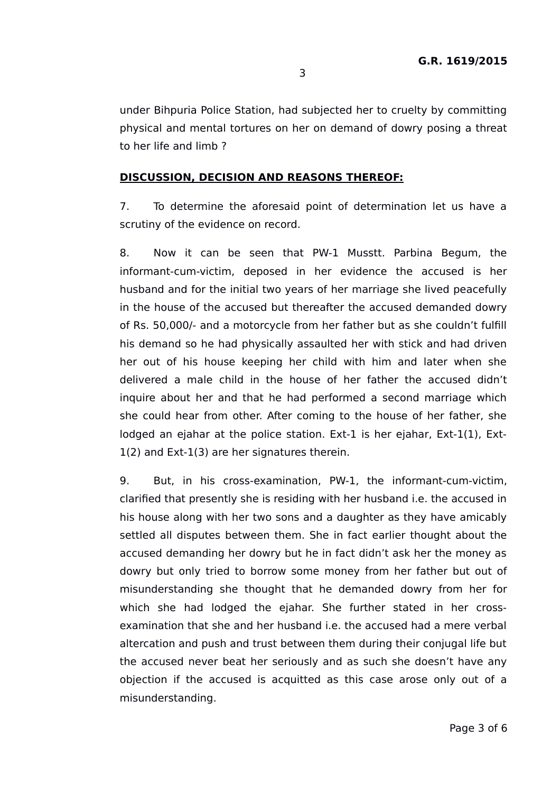under Bihpuria Police Station, had subjected her to cruelty by committing physical and mental tortures on her on demand of dowry posing a threat to her life and limb ?

#### **DISCUSSION, DECISION AND REASONS THEREOF:**

7. To determine the aforesaid point of determination let us have a scrutiny of the evidence on record.

8. Now it can be seen that PW-1 Musstt. Parbina Begum, the informant-cum-victim, deposed in her evidence the accused is her husband and for the initial two years of her marriage she lived peacefully in the house of the accused but thereafter the accused demanded dowry of Rs. 50,000/- and a motorcycle from her father but as she couldn't fulfill his demand so he had physically assaulted her with stick and had driven her out of his house keeping her child with him and later when she delivered a male child in the house of her father the accused didn't inquire about her and that he had performed a second marriage which she could hear from other. After coming to the house of her father, she lodged an ejahar at the police station. Ext-1 is her ejahar, Ext-1(1), Ext-1(2) and Ext-1(3) are her signatures therein.

9. But, in his cross-examination, PW-1, the informant-cum-victim, clarified that presently she is residing with her husband i.e. the accused in his house along with her two sons and a daughter as they have amicably settled all disputes between them. She in fact earlier thought about the accused demanding her dowry but he in fact didn't ask her the money as dowry but only tried to borrow some money from her father but out of misunderstanding she thought that he demanded dowry from her for which she had lodged the ejahar. She further stated in her crossexamination that she and her husband i.e. the accused had a mere verbal altercation and push and trust between them during their conjugal life but the accused never beat her seriously and as such she doesn't have any objection if the accused is acquitted as this case arose only out of a misunderstanding.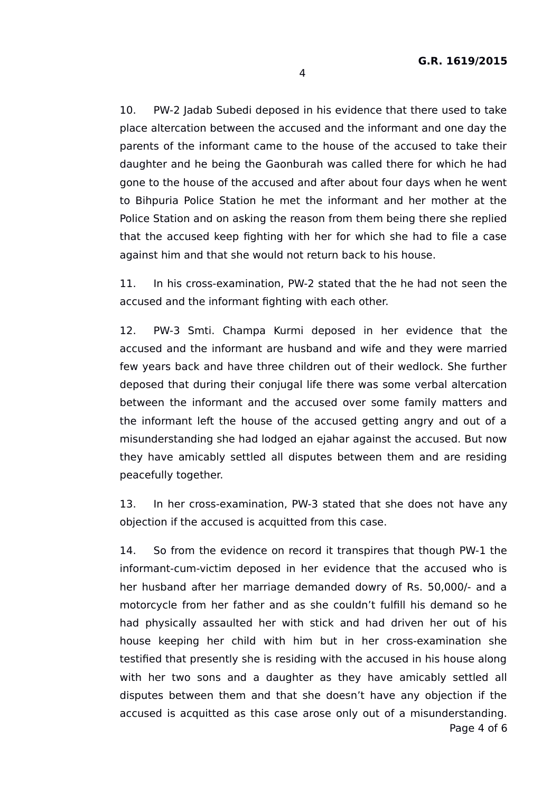10. PW-2 Jadab Subedi deposed in his evidence that there used to take place altercation between the accused and the informant and one day the parents of the informant came to the house of the accused to take their daughter and he being the Gaonburah was called there for which he had gone to the house of the accused and after about four days when he went to Bihpuria Police Station he met the informant and her mother at the Police Station and on asking the reason from them being there she replied that the accused keep fighting with her for which she had to file a case against him and that she would not return back to his house.

11. In his cross-examination, PW-2 stated that the he had not seen the accused and the informant fighting with each other.

12. PW-3 Smti. Champa Kurmi deposed in her evidence that the accused and the informant are husband and wife and they were married few years back and have three children out of their wedlock. She further deposed that during their conjugal life there was some verbal altercation between the informant and the accused over some family matters and the informant left the house of the accused getting angry and out of a misunderstanding she had lodged an ejahar against the accused. But now they have amicably settled all disputes between them and are residing peacefully together.

13. In her cross-examination, PW-3 stated that she does not have any objection if the accused is acquitted from this case.

14. So from the evidence on record it transpires that though PW-1 the informant-cum-victim deposed in her evidence that the accused who is her husband after her marriage demanded dowry of Rs. 50,000/- and a motorcycle from her father and as she couldn't fulfill his demand so he had physically assaulted her with stick and had driven her out of his house keeping her child with him but in her cross-examination she testified that presently she is residing with the accused in his house along with her two sons and a daughter as they have amicably settled all disputes between them and that she doesn't have any objection if the accused is acquitted as this case arose only out of a misunderstanding. Page 4 of 6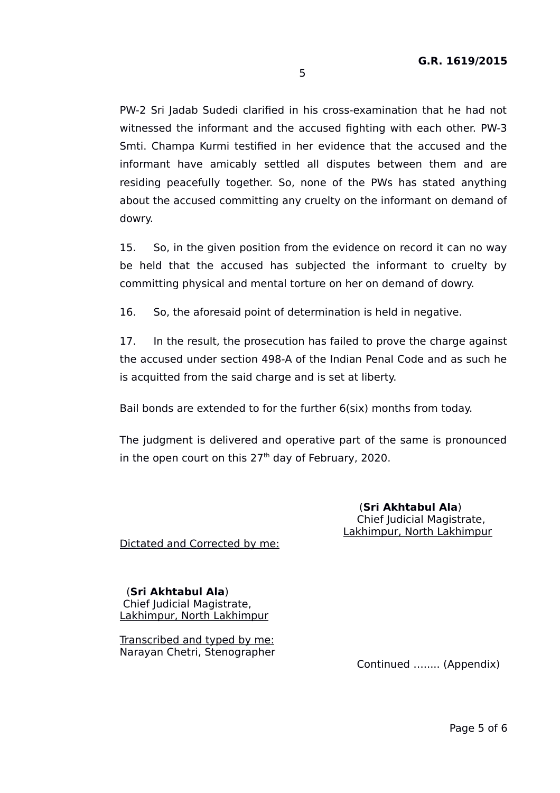PW-2 Sri Jadab Sudedi clarified in his cross-examination that he had not witnessed the informant and the accused fighting with each other. PW-3 Smti. Champa Kurmi testified in her evidence that the accused and the informant have amicably settled all disputes between them and are residing peacefully together. So, none of the PWs has stated anything about the accused committing any cruelty on the informant on demand of dowry.

15. So, in the given position from the evidence on record it can no way be held that the accused has subjected the informant to cruelty by committing physical and mental torture on her on demand of dowry.

16. So, the aforesaid point of determination is held in negative.

17. In the result, the prosecution has failed to prove the charge against the accused under section 498-A of the Indian Penal Code and as such he is acquitted from the said charge and is set at liberty.

Bail bonds are extended to for the further 6(six) months from today.

The judgment is delivered and operative part of the same is pronounced in the open court on this  $27<sup>th</sup>$  day of February, 2020.

> (**Sri Akhtabul Ala**) Chief Judicial Magistrate, Lakhimpur, North Lakhimpur

Dictated and Corrected by me:

 (**Sri Akhtabul Ala**) Chief Judicial Magistrate, Lakhimpur, North Lakhimpur

Transcribed and typed by me: Narayan Chetri, Stenographer

Continued …..... (Appendix)